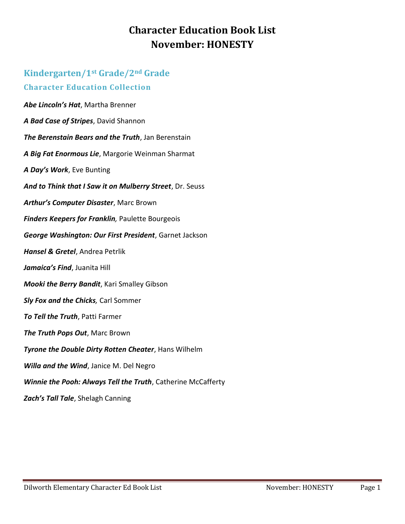## **Character Education Book List November: HONESTY**

## **Kindergarten/1st Grade/2nd Grade Character Education Collection** *Abe Lincoln's Hat*, Martha Brenner *A Bad Case of Stripes*, David Shannon *The Berenstain Bears and the Truth*, Jan Berenstain *A Big Fat Enormous Lie*, Margorie Weinman Sharmat *A Day's Work*, Eve Bunting *And to Think that I Saw it on Mulberry Street*, Dr. Seuss *Arthur's Computer Disaster*, Marc Brown *Finders Keepers for Franklin,* Paulette Bourgeois *George Washington: Our First President*, Garnet Jackson *Hansel & Gretel*, Andrea Petrlik *Jamaica's Find*, Juanita Hill *Mooki the Berry Bandit*, Kari Smalley Gibson *Sly Fox and the Chicks,* Carl Sommer *To Tell the Truth*, Patti Farmer *The Truth Pops Out*, Marc Brown *Tyrone the Double Dirty Rotten Cheater*, Hans Wilhelm *Willa and the Wind*, Janice M. Del Negro *Winnie the Pooh: Always Tell the Truth*, Catherine McCafferty *Zach's Tall Tale*, Shelagh Canning